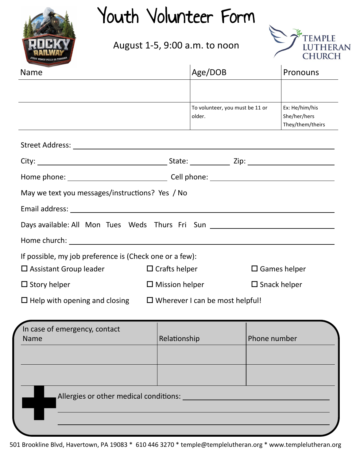

## Youth Volunteer Form

August 1-5, 9:00 a.m. to noon



| <b>Name</b>                                                                      | Age/DOB                                   | Pronouns                                           |  |
|----------------------------------------------------------------------------------|-------------------------------------------|----------------------------------------------------|--|
|                                                                                  |                                           |                                                    |  |
|                                                                                  | To volunteer, you must be 11 or<br>older. | Ex: He/him/his<br>She/her/hers<br>They/them/theirs |  |
|                                                                                  |                                           |                                                    |  |
|                                                                                  |                                           |                                                    |  |
|                                                                                  |                                           |                                                    |  |
| May we text you messages/instructions? Yes / No                                  |                                           |                                                    |  |
|                                                                                  |                                           |                                                    |  |
| Days available: All Mon Tues Weds Thurs Fri Sun ________________________________ |                                           |                                                    |  |
|                                                                                  |                                           |                                                    |  |
| If possible, my job preference is (Check one or a few):                          |                                           |                                                    |  |
| $\Box$ Assistant Group leader                                                    | $\Box$ Crafts helper                      | $\square$ Games helper                             |  |
| $\Box$ Story helper                                                              | $\Box$ Mission helper                     | $\square$ Snack helper                             |  |
| $\Box$ Help with opening and closing $\Box$ Wherever I can be most helpful!      |                                           |                                                    |  |
|                                                                                  |                                           |                                                    |  |

| In case of emergency, contact          |              |              |
|----------------------------------------|--------------|--------------|
| Name                                   | Relationship | Phone number |
|                                        |              |              |
|                                        |              |              |
|                                        |              |              |
|                                        |              |              |
| Allergies or other medical conditions: |              |              |
|                                        |              |              |
|                                        |              |              |
|                                        |              |              |